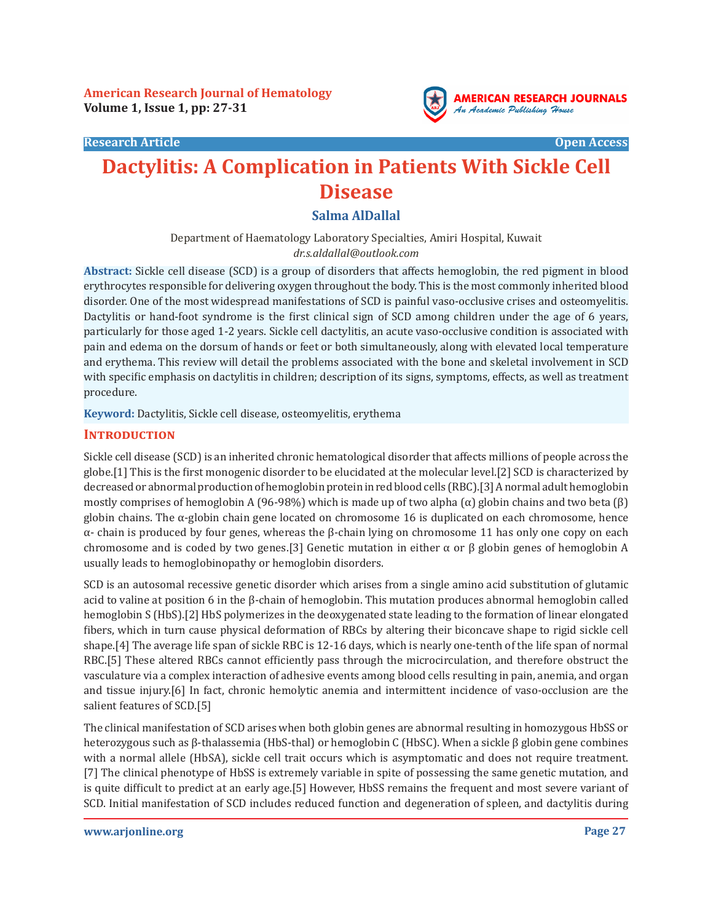#### **Research Article Open Access**



# **Dactylitis: A Complication in Patients With Sickle Cell Disease**

# **Salma AlDallal**

Department of Haematology Laboratory Specialties, Amiri Hospital, Kuwait *dr.s.aldallal@outlook.com*

**Abstract:** Sickle cell disease (SCD) is a group of disorders that affects hemoglobin, the red pigment in blood erythrocytes responsible for delivering oxygen throughout the body. This is the most commonly inherited blood disorder. One of the most widespread manifestations of SCD is painful vaso-occlusive crises and osteomyelitis. Dactylitis or hand-foot syndrome is the first clinical sign of SCD among children under the age of 6 years, particularly for those aged 1-2 years. Sickle cell dactylitis, an acute vaso-occlusive condition is associated with pain and edema on the dorsum of hands or feet or both simultaneously, along with elevated local temperature and erythema. This review will detail the problems associated with the bone and skeletal involvement in SCD with specific emphasis on dactylitis in children; description of its signs, symptoms, effects, as well as treatment procedure.

**Keyword:** Dactylitis, Sickle cell disease, osteomyelitis, erythema

#### **INTRODUCTION**

Sickle cell disease (SCD) is an inherited chronic hematological disorder that affects millions of people across the globe.[1] This is the first monogenic disorder to be elucidated at the molecular level.[2] SCD is characterized by decreased or abnormal production of hemoglobin protein in red blood cells (RBC).[3] A normal adult hemoglobin mostly comprises of hemoglobin A (96-98%) which is made up of two alpha (α) globin chains and two beta (β) globin chains. The  $\alpha$ -globin chain gene located on chromosome 16 is duplicated on each chromosome, hence α- chain is produced by four genes, whereas the β-chain lying on chromosome 11 has only one copy on each chromosome and is coded by two genes.[3] Genetic mutation in either α or β globin genes of hemoglobin A usually leads to hemoglobinopathy or hemoglobin disorders.

SCD is an autosomal recessive genetic disorder which arises from a single amino acid substitution of glutamic acid to valine at position 6 in the β-chain of hemoglobin. This mutation produces abnormal hemoglobin called hemoglobin S (HbS).[2] HbS polymerizes in the deoxygenated state leading to the formation of linear elongated fibers, which in turn cause physical deformation of RBCs by altering their biconcave shape to rigid sickle cell shape.[4] The average life span of sickle RBC is 12-16 days, which is nearly one-tenth of the life span of normal RBC.[5] These altered RBCs cannot efficiently pass through the microcirculation, and therefore obstruct the vasculature via a complex interaction of adhesive events among blood cells resulting in pain, anemia, and organ and tissue injury.[6] In fact, chronic hemolytic anemia and intermittent incidence of vaso-occlusion are the salient features of SCD.[5]

The clinical manifestation of SCD arises when both globin genes are abnormal resulting in homozygous HbSS or heterozygous such as β-thalassemia (HbS-thal) or hemoglobin C (HbSC). When a sickle β globin gene combines with a normal allele (HbSA), sickle cell trait occurs which is asymptomatic and does not require treatment. [7] The clinical phenotype of HbSS is extremely variable in spite of possessing the same genetic mutation, and is quite difficult to predict at an early age.[5] However, HbSS remains the frequent and most severe variant of SCD. Initial manifestation of SCD includes reduced function and degeneration of spleen, and dactylitis during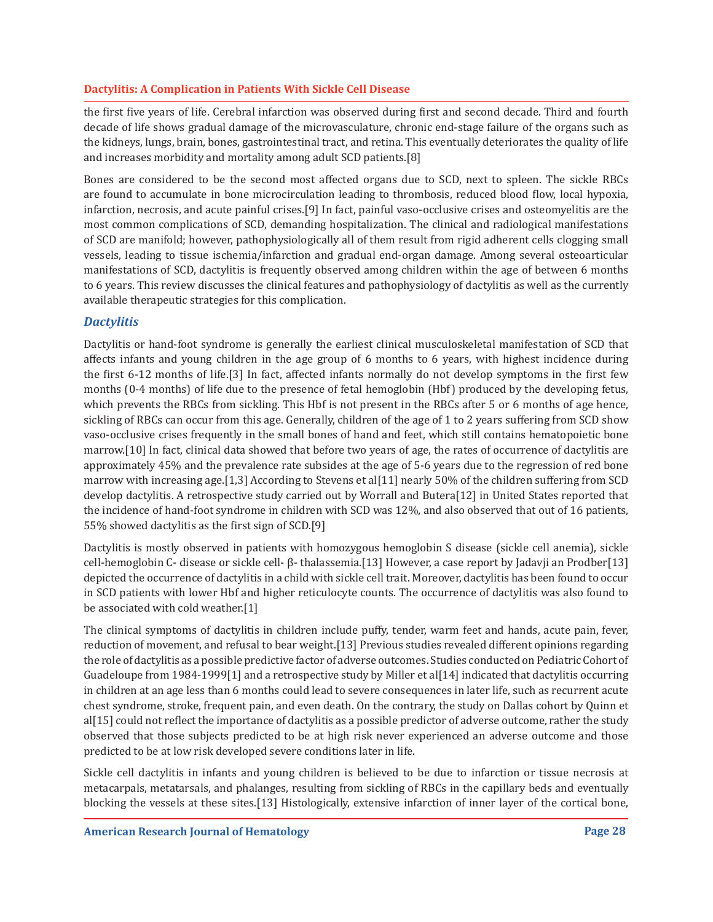the first five years of life. Cerebral infarction was observed during first and second decade. Third and fourth decade of life shows gradual damage of the microvasculature, chronic end-stage failure of the organs such as the kidneys, lungs, brain, bones, gastrointestinal tract, and retina. This eventually deteriorates the quality of life and increases morbidity and mortality among adult SCD patients.[8]

Bones are considered to be the second most affected organs due to SCD, next to spleen. The sickle RBCs are found to accumulate in bone microcirculation leading to thrombosis, reduced blood flow, local hypoxia, infarction, necrosis, and acute painful crises.[9] In fact, painful vaso-occlusive crises and osteomyelitis are the most common complications of SCD, demanding hospitalization. The clinical and radiological manifestations of SCD are manifold; however, pathophysiologically all of them result from rigid adherent cells clogging small vessels, leading to tissue ischemia/infarction and gradual end-organ damage. Among several osteoarticular manifestations of SCD, dactylitis is frequently observed among children within the age of between 6 months to 6 years. This review discusses the clinical features and pathophysiology of dactylitis as well as the currently available therapeutic strategies for this complication.

# *Dactylitis*

Dactylitis or hand-foot syndrome is generally the earliest clinical musculoskeletal manifestation of SCD that affects infants and young children in the age group of 6 months to 6 years, with highest incidence during the first 6-12 months of life.[3] In fact, affected infants normally do not develop symptoms in the first few months (0-4 months) of life due to the presence of fetal hemoglobin (Hbf) produced by the developing fetus, which prevents the RBCs from sickling. This Hbf is not present in the RBCs after 5 or 6 months of age hence, sickling of RBCs can occur from this age. Generally, children of the age of 1 to 2 years suffering from SCD show vaso-occlusive crises frequently in the small bones of hand and feet, which still contains hematopoietic bone marrow.[10] In fact, clinical data showed that before two years of age, the rates of occurrence of dactylitis are approximately 45% and the prevalence rate subsides at the age of 5-6 years due to the regression of red bone marrow with increasing age.[1,3] According to Stevens et al[11] nearly 50% of the children suffering from SCD develop dactylitis. A retrospective study carried out by Worrall and Butera[12] in United States reported that the incidence of hand-foot syndrome in children with SCD was 12%, and also observed that out of 16 patients, 55% showed dactylitis as the first sign of SCD.[9]

Dactylitis is mostly observed in patients with homozygous hemoglobin S disease (sickle cell anemia), sickle cell-hemoglobin C- disease or sickle cell- β- thalassemia.[13] However, a case report by Jadavji an Prodber[13] depicted the occurrence of dactylitis in a child with sickle cell trait. Moreover, dactylitis has been found to occur in SCD patients with lower Hbf and higher reticulocyte counts. The occurrence of dactylitis was also found to be associated with cold weather.[1]

The clinical symptoms of dactylitis in children include puffy, tender, warm feet and hands, acute pain, fever, reduction of movement, and refusal to bear weight.[13] Previous studies revealed different opinions regarding the role of dactylitis as a possible predictive factor of adverse outcomes. Studies conducted on Pediatric Cohort of Guadeloupe from 1984-1999[1] and a retrospective study by Miller et al[14] indicated that dactylitis occurring in children at an age less than 6 months could lead to severe consequences in later life, such as recurrent acute chest syndrome, stroke, frequent pain, and even death. On the contrary, the study on Dallas cohort by Quinn et al[15] could not reflect the importance of dactylitis as a possible predictor of adverse outcome, rather the study observed that those subjects predicted to be at high risk never experienced an adverse outcome and those predicted to be at low risk developed severe conditions later in life.

Sickle cell dactylitis in infants and young children is believed to be due to infarction or tissue necrosis at metacarpals, metatarsals, and phalanges, resulting from sickling of RBCs in the capillary beds and eventually blocking the vessels at these sites.[13] Histologically, extensive infarction of inner layer of the cortical bone,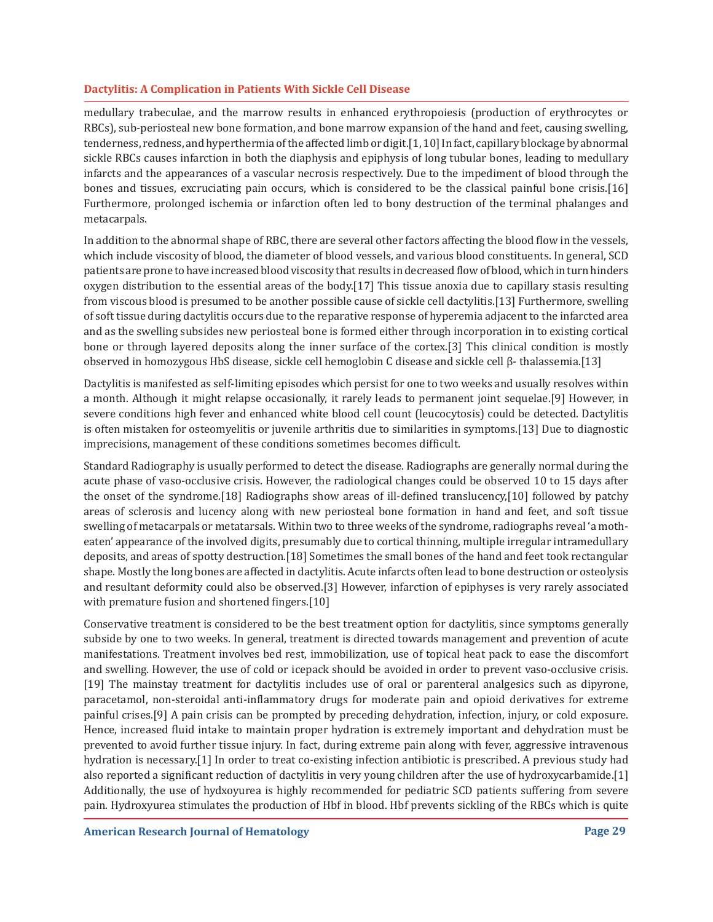medullary trabeculae, and the marrow results in enhanced erythropoiesis (production of erythrocytes or RBCs), sub-periosteal new bone formation, and bone marrow expansion of the hand and feet, causing swelling, tenderness, redness, and hyperthermia of the affected limb or digit.[1, 10] In fact, capillary blockage by abnormal sickle RBCs causes infarction in both the diaphysis and epiphysis of long tubular bones, leading to medullary infarcts and the appearances of a vascular necrosis respectively. Due to the impediment of blood through the bones and tissues, excruciating pain occurs, which is considered to be the classical painful bone crisis.[16] Furthermore, prolonged ischemia or infarction often led to bony destruction of the terminal phalanges and metacarpals.

In addition to the abnormal shape of RBC, there are several other factors affecting the blood flow in the vessels, which include viscosity of blood, the diameter of blood vessels, and various blood constituents. In general, SCD patients are prone to have increased blood viscosity that results in decreased flow of blood, which in turn hinders oxygen distribution to the essential areas of the body.[17] This tissue anoxia due to capillary stasis resulting from viscous blood is presumed to be another possible cause of sickle cell dactylitis.[13] Furthermore, swelling of soft tissue during dactylitis occurs due to the reparative response of hyperemia adjacent to the infarcted area and as the swelling subsides new periosteal bone is formed either through incorporation in to existing cortical bone or through layered deposits along the inner surface of the cortex.[3] This clinical condition is mostly observed in homozygous HbS disease, sickle cell hemoglobin C disease and sickle cell β- thalassemia.[13]

Dactylitis is manifested as self-limiting episodes which persist for one to two weeks and usually resolves within a month. Although it might relapse occasionally, it rarely leads to permanent joint sequelae.[9] However, in severe conditions high fever and enhanced white blood cell count (leucocytosis) could be detected. Dactylitis is often mistaken for osteomyelitis or juvenile arthritis due to similarities in symptoms.[13] Due to diagnostic imprecisions, management of these conditions sometimes becomes difficult.

Standard Radiography is usually performed to detect the disease. Radiographs are generally normal during the acute phase of vaso-occlusive crisis. However, the radiological changes could be observed 10 to 15 days after the onset of the syndrome.[18] Radiographs show areas of ill-defined translucency,[10] followed by patchy areas of sclerosis and lucency along with new periosteal bone formation in hand and feet, and soft tissue swelling of metacarpals or metatarsals. Within two to three weeks of the syndrome, radiographs reveal 'a motheaten' appearance of the involved digits, presumably due to cortical thinning, multiple irregular intramedullary deposits, and areas of spotty destruction.[18] Sometimes the small bones of the hand and feet took rectangular shape. Mostly the long bones are affected in dactylitis. Acute infarcts often lead to bone destruction or osteolysis and resultant deformity could also be observed.[3] However, infarction of epiphyses is very rarely associated with premature fusion and shortened fingers.[10]

Conservative treatment is considered to be the best treatment option for dactylitis, since symptoms generally subside by one to two weeks. In general, treatment is directed towards management and prevention of acute manifestations. Treatment involves bed rest, immobilization, use of topical heat pack to ease the discomfort and swelling. However, the use of cold or icepack should be avoided in order to prevent vaso-occlusive crisis. [19] The mainstay treatment for dactylitis includes use of oral or parenteral analgesics such as dipyrone, paracetamol, non-steroidal anti-inflammatory drugs for moderate pain and opioid derivatives for extreme painful crises.[9] A pain crisis can be prompted by preceding dehydration, infection, injury, or cold exposure. Hence, increased fluid intake to maintain proper hydration is extremely important and dehydration must be prevented to avoid further tissue injury. In fact, during extreme pain along with fever, aggressive intravenous hydration is necessary.[1] In order to treat co-existing infection antibiotic is prescribed. A previous study had also reported a significant reduction of dactylitis in very young children after the use of hydroxycarbamide.[1] Additionally, the use of hydxoyurea is highly recommended for pediatric SCD patients suffering from severe pain. Hydroxyurea stimulates the production of Hbf in blood. Hbf prevents sickling of the RBCs which is quite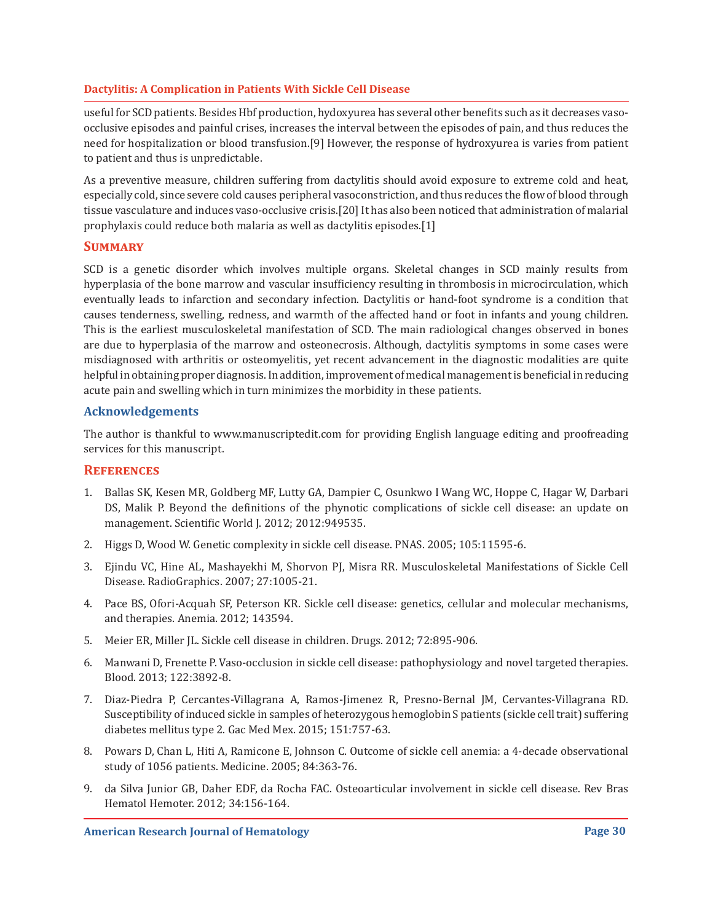useful for SCD patients. Besides Hbf production, hydoxyurea has several other benefits such as it decreases vasoocclusive episodes and painful crises, increases the interval between the episodes of pain, and thus reduces the need for hospitalization or blood transfusion.[9] However, the response of hydroxyurea is varies from patient to patient and thus is unpredictable.

As a preventive measure, children suffering from dactylitis should avoid exposure to extreme cold and heat, especially cold, since severe cold causes peripheral vasoconstriction, and thus reduces the flow of blood through tissue vasculature and induces vaso-occlusive crisis.[20] It has also been noticed that administration of malarial prophylaxis could reduce both malaria as well as dactylitis episodes.[1]

# **Summary**

SCD is a genetic disorder which involves multiple organs. Skeletal changes in SCD mainly results from hyperplasia of the bone marrow and vascular insufficiency resulting in thrombosis in microcirculation, which eventually leads to infarction and secondary infection. Dactylitis or hand-foot syndrome is a condition that causes tenderness, swelling, redness, and warmth of the affected hand or foot in infants and young children. This is the earliest musculoskeletal manifestation of SCD. The main radiological changes observed in bones are due to hyperplasia of the marrow and osteonecrosis. Although, dactylitis symptoms in some cases were misdiagnosed with arthritis or osteomyelitis, yet recent advancement in the diagnostic modalities are quite helpful in obtaining proper diagnosis. In addition, improvement of medical management is beneficial in reducing acute pain and swelling which in turn minimizes the morbidity in these patients.

# **Acknowledgements**

The author is thankful to www.manuscriptedit.com for providing English language editing and proofreading services for this manuscript.

#### **References**

- 1. Ballas SK, Kesen MR, Goldberg MF, Lutty GA, Dampier C, Osunkwo I Wang WC, Hoppe C, Hagar W, Darbari DS, Malik P. Beyond the definitions of the phynotic complications of sickle cell disease: an update on management. Scientific World J. 2012; 2012:949535.
- 2. Higgs D, Wood W. Genetic complexity in sickle cell disease. PNAS. 2005; 105:11595-6.
- 3. Ejindu VC, Hine AL, Mashayekhi M, Shorvon PJ, Misra RR. Musculoskeletal Manifestations of Sickle Cell Disease. RadioGraphics. 2007; 27:1005-21.
- 4. Pace BS, Ofori-Acquah SF, Peterson KR. Sickle cell disease: genetics, cellular and molecular mechanisms, and therapies. Anemia. 2012; 143594.
- 5. Meier ER, Miller JL. Sickle cell disease in children. Drugs. 2012; 72:895-906.
- 6. Manwani D, Frenette P. Vaso-occlusion in sickle cell disease: pathophysiology and novel targeted therapies. Blood. 2013; 122:3892-8.
- 7. Diaz-Piedra P, Cercantes-Villagrana A, Ramos-Jimenez R, Presno-Bernal JM, Cervantes-Villagrana RD. Susceptibility of induced sickle in samples of heterozygous hemoglobin S patients (sickle cell trait) suffering diabetes mellitus type 2. Gac Med Mex. 2015; 151:757-63.
- 8. Powars D, Chan L, Hiti A, Ramicone E, Johnson C. Outcome of sickle cell anemia: a 4-decade observational study of 1056 patients. Medicine. 2005; 84:363-76.
- 9. da Silva Junior GB, Daher EDF, da Rocha FAC. Osteoarticular involvement in sickle cell disease. Rev Bras Hematol Hemoter. 2012; 34:156-164.